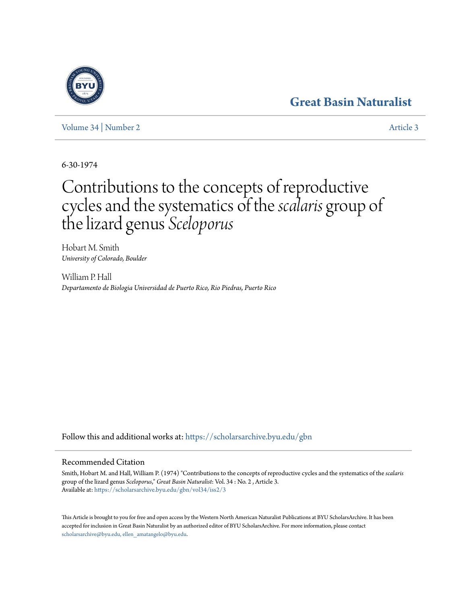## **[Great Basin Naturalist](https://scholarsarchive.byu.edu/gbn?utm_source=scholarsarchive.byu.edu%2Fgbn%2Fvol34%2Fiss2%2F3&utm_medium=PDF&utm_campaign=PDFCoverPages)**



[Volume 34](https://scholarsarchive.byu.edu/gbn/vol34?utm_source=scholarsarchive.byu.edu%2Fgbn%2Fvol34%2Fiss2%2F3&utm_medium=PDF&utm_campaign=PDFCoverPages) | [Number 2](https://scholarsarchive.byu.edu/gbn/vol34/iss2?utm_source=scholarsarchive.byu.edu%2Fgbn%2Fvol34%2Fiss2%2F3&utm_medium=PDF&utm_campaign=PDFCoverPages) [Article 3](https://scholarsarchive.byu.edu/gbn/vol34/iss2/3?utm_source=scholarsarchive.byu.edu%2Fgbn%2Fvol34%2Fiss2%2F3&utm_medium=PDF&utm_campaign=PDFCoverPages)

6-30-1974

# Contributions to the concepts of reproductive cycles and the systematics of the*scalaris*group of the lizard genus *Sceloporus*

Hobart M. Smith *University of Colorado, Boulder*

William P. Hall *Departamento de Biologia Universidad de Puerto Rico, Rio Piedras, Puerto Rico*

Follow this and additional works at: [https://scholarsarchive.byu.edu/gbn](https://scholarsarchive.byu.edu/gbn?utm_source=scholarsarchive.byu.edu%2Fgbn%2Fvol34%2Fiss2%2F3&utm_medium=PDF&utm_campaign=PDFCoverPages)

### Recommended Citation

Smith, Hobart M. and Hall, William P. (1974) "Contributions to the concepts of reproductive cycles and the systematics of the *scalaris* group of the lizard genus *Sceloporus*," *Great Basin Naturalist*: Vol. 34 : No. 2 , Article 3. Available at: [https://scholarsarchive.byu.edu/gbn/vol34/iss2/3](https://scholarsarchive.byu.edu/gbn/vol34/iss2/3?utm_source=scholarsarchive.byu.edu%2Fgbn%2Fvol34%2Fiss2%2F3&utm_medium=PDF&utm_campaign=PDFCoverPages)

This Article is brought to you for free and open access by the Western North American Naturalist Publications at BYU ScholarsArchive. It has been accepted for inclusion in Great Basin Naturalist by an authorized editor of BYU ScholarsArchive. For more information, please contact [scholarsarchive@byu.edu, ellen\\_amatangelo@byu.edu.](mailto:scholarsarchive@byu.edu,%20ellen_amatangelo@byu.edu)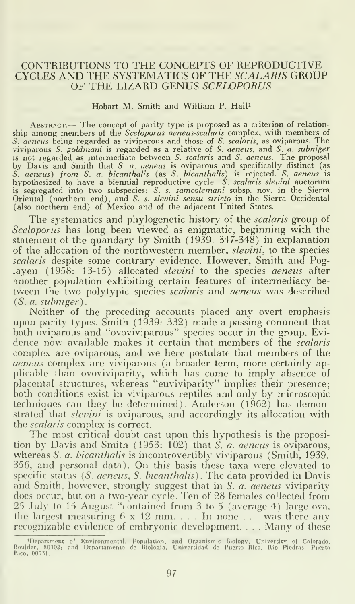#### CONTRIBUTIONS TO THE CONCEPTS OF REPRODUCTIVE CYCLES AND THE SYSTEMATICS OF THE SCALARIS GROUP OF THE LIZARD GENUS SCELOPORUS

#### Hobart M. Smith and William P. Hall<sup>1</sup>

ABSTRACT.— The concept of parity type is proposed as a criterion of relation-<br>ship among members of the *Sceloporus aeneus-scalaris* complex, with members of<br>*S. aeneus* being regarded as viviparous and those of *S. scalar* viviparous *S. goldmani* is regarded as a relative of *S. aeneus*, and *S. a. subniger*<br>is not regarded as intermediate between *S. scalaris* and *S. aeneus. T*he proposal by Davis and Smith that S. a. aeneus is oviparous and specifically distinct (as S. *aeneus) from S. a. bicanthalis* (as *S. bicanthalis) is rejected. S. aeneus is*<br>hypothesized to have a biennial reproductive cycle. *S. scalaris slevini* auctorum is segregated into two subspecies: S. s. samcolemani subsp. nov. in the Sierra Oriental (northern end), and *S. s. slevini sensu stricto* in the Sierra Occidental<br>(also northern end) of Mexico and of the adjacent United States.

The systematics and phylogenetic history of the *scalaris* group of Sceloporus has long been viewed as enigmatic, beginning with the statement of the quandary by Smith (1939: 347-348) in explanation of the allocation of the northwestern member, slevini, to the species scalaris despite some contrary evidence. However, Smith and Poglayen (1958: 13-15) allocated *slevini* to the species *aeneus* after another population exhibiting certain features of intermediacy be tween the two polytypic species *scalaris* and *aeneus* was described  $(S. a. subniger).$ 

Neither of the preceding accounts placed any overt emphasis upon parity types. Smith (1939: 332) made a passing comment that both oviparous and "ovoviviparous" species occur in the group. Evidence now available makes it certain that members of the *scalaris* complex are oviparous, and we here postulate that members of the aeneus complex are viviparous (a broader term, more certainly applicable than ovoviviparity, which has come to imply absence of placental structures, whereas "euviviparity" implies their presence; both conditions exist in viviparous reptiles and only by microscopic techniques can they be determined). Anderson (1962) has demonstrated that *slevini* is oviparous, and accordingly its allocation with the *scalaris* complex is correct.

The most critical doubt cast upon this hypothesis is the proposition by Davis and Smith (1953: 102) that S. a. aeneus is oviparous, whereas *S. a. bicanthalis* is incontrovertibly viviparous (Smith, 1939: 356, and personal data). On this basis these taxa were elevated to specific status (S. aeneus, S. bicanthalis). The data provided in Davis and Smith, however, strongly suggest that in S. a. aeneus viviparity does occur, but on <sup>a</sup> two-year cycle. Ten of 28 females collected from 25 July to 15 August "contained from 3 to 5 (average 4) large ova, the largest measuring 6 x 12 mm. ... In none . . . was there any recognizable evidence of embryonic development. . . . Many of these

<sup>&#</sup>x27;'Department of Environmental, Population, and Organismic Biology, University of Colorado,<br>Boulder, 80302; and Departamento de Biología, Universidad de Puerto Rico, Río Piedras, Puerto<br>Bico, 00931.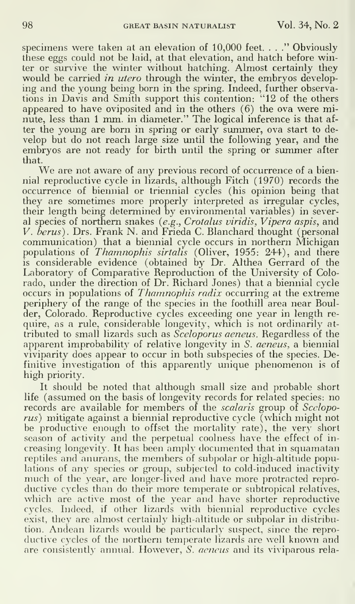specimens were taken at an elevation of 10,000 feet. . . ." Obviously these eggs could not be laid, at that elevation, and hatch before winter or survive the winter without hatching. Almost certainly they would be carried in *utero* through the winter, the embryos developing and the young being born in the spring. Indeed, further observations in Davis and Smith support this contention: "12 of the others appeared to have oviposited and in the others (6) the ova were minute, less than <sup>1</sup> mm. in diameter." The logical inference is that af ter the young are bom in spring or early summer, ova start to de velop but do not reach large size until the following year, and the embryos are not ready for birth until the spring or summer after that.<br>We are not aware of any previous record of occurrence of a bien-

nial reproductive cycle in lizards, although Fitch (1970) records the occurrence of biennial or triennial cycles (his opinion being that they are sometimes more properly interpreted as irregular cycles, their length being determined by environmental variables) in several species of northern snakes (e.g., Crotalus viridis, Vipera aspis, and V. berus). Drs. Frank N. and Frieda C. Blanchard thought (personal communication) that a biennial cycle occurs in northern Michigan populations of *Thamnophis sirtalis* (Oliver, 1955: 244), and there is considerable evidence (obtained by Dr. Althea Gerrard of the Laboratory of Comparative Reproduction of the University of Colorado, under the direction of Dr. Richard Jones) that a biennial cycle occurs in populations of Thamnophis radix occurring at the extreme periphery of the range of the species in the foothill area near Boulder, Colorado. Reproductive cycles exceeding one year in length re quire, as a rule, considerable longevity, which is not ordinarily at tributed to small lizards such as Sceloporus aeneus. Regardless of the apparent improbability of relative longevity in S. aeneus, a biennial viviparity does appear to occur in both subspecies of the species. Definitive investigation of this apparently unique phenomenon is of high priority.

It should be noted that although small size and probable short life (assumed on the basis of longevity records for related species: no records are available for members of the *scalaris* group of *Scelopo*rus) mitigate against a biennial reproductive cycle (which might not be productive enough to offset the mortality rate), the very short season of activity and the perpetual coolness have the effect of in creasing longevity. It has been amply documented that in squamatan reptiles and anurans, the members of subpolar or high-altitude populations of any species or group, subjected to cold-induced inactivity much of the year, are longer-lived and have more protracted repro ductive cycles than do their more temperate or subtropical relatives, which are active most of the year and have shorter reproductive cycles. Indeed, if other lizards with biennial reproductive cycles exist, they are almost certainly high-altitude or subpolar in distribution. Andean lizards would be particularly suspect, since the repro ductive cycles of the northern temperate lizards are well known and are consistently annual. However, *S. aeneus* and its viviparous rela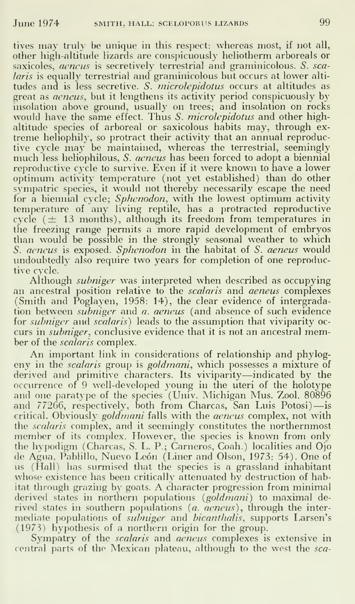tives may truly be unique in this respect: whereas most, if not all, other high-altitude lizards are conspicuously heliotherm arboreals or saxicoles, *aeneus* is secretively terrestrial and graminicolous. S. scalaris is equally terrestrial and graminicolous but occurs at lower altitudes and is less secretive. S. microlepidotus occurs at altitudes as great as *aeneus*, but it lengthens its activity period conspicuously by insolation above ground, usually on trees; and insolation on rocks would have the same effect. Thus S. microlepidotus and other highaltitude species of arboreal or saxicolous habits may, through ex treme heliophily, so protract their activity that an annual reproductive cycle may be maintained, whereas the terrestrial, seemingly much less heliophilous, S. *aeneus* has been forced to adopt a biennial reproductive cycle to survive. Even if it were known to have a lower optimum activity temperature (not yet established) than do other sympatric species, it would not thereby necessarily escape the need for a biennial cycle; Sphenodon, with the lowest optimum activity temperature of any living reptile, has a protracted reproductive cycle  $(\pm 13 \text{ months})$ , although its freedom from temperatures in the freezing range permits a more rapid development of embryos than would be possible in the strongly seasonal weather to which S. aeneus is exposed. Sphenodon in the habitat of S. aeneus would undoubtedly also require two years for completion of one reproductive cycle.

Although *subniger* was interpreted when described as occupying an ancestral position relative to the *scalaris* and *aeneus* complexes (Smith and Poglayen, 1958: 14), the clear evidence of intergradation between *subniger* and a. aeneus (and absence of such evidence for *subniger* and *scalaris*) leads to the assumption that viviparity occurs in subniger, conclusive evidence that it is not an ancestral member of the *scalaris* complex.

An important link in considerations of relationship and phylogeny in the *scalaris* group is *goldmani*, which possesses a mixture of derived and primitive characters. Its viviparity—indicated by the eny in the *scalarts* group is gola*man*, which possesses a mixture of<br>derived and primitive characters. Its viviparity—indicated by the<br>occurrence of 9 well-developed young in the uteri of the holotype and one paratype of the species (Univ. Michigan Mus. Zool. 80896 and 77266, respectively, both from Charcas, San Luis Potosi) —is critical. Obviously goldmani falls with the aeneus complex, not with the scalaris complex, and it seemingly constitutes the northernmost member of its complex. However, the species is known from only the hypodigm (Charcas, S. L. P.; Carneros, Coah.) localities and Ojo de Agua, Pablillo, Nuevo Leon (Liner and Olson, 1973: 54). One of us (Hall) has surmised that the species is a grassland inhabitant whose existence has been critically attenuated by destruction of habitat through grazing by goats. A character progression from minimal derived states in northern populations (goldmani) to maximal derived states in southern populations  $(a, aeneus)$ , through the intermediate populations of *subniger* and *bicanthalis*, supports Larsen's (1973) hypothesis of a northern origin for the group.

Sympatry of the *scalaris* and *aeneus* complexes is extensive in central parts of the Mexican plateau, although to the west the sca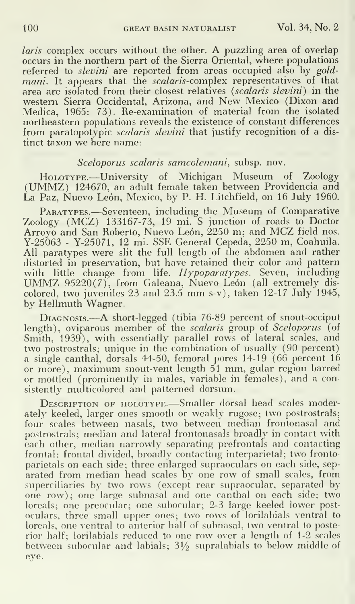laris complex occurs without the other. A puzzling area of overlap occurs in the northern part of the Sierra Oriental, where populations referred to *slevini* are reported from areas occupied also by gold $mani$ . It appears that the scalaris-complex representatives of that area are isolated from their closest relatives {scalaris slevini) in the western Sierra Occidental, Arizona, and New Mexico (Dixon and Medica, 1965: 73). Re-examination of material from the isolated northeastern populations reveals the existence of constant differences from paratopotypic scalaris slevini that justify recognition of a distinct taxon we here name:

#### Sceloporus scalaris samcolemani, subsp. nov.

HoLOTYPE.—University of Michigan Museum of Zoology (UMMZ) 124670, an adult female taken between Providencia and La Paz, Nuevo León, Mexico, by P. H. Litchfield, on 16 July 1960.

Paratypes.—Seventeen, including the Museum of Comparative Zoology (MCZ) 133167-73, 19 mi. S junction of roads to Doctor Arroyo and San Roberto, Nuevo León, 2250 m; and MCZ field nos. Y-25063 - Y-25071, 12 mi. SSE General Cepeda, 2250 m, Coahuila. All paratypes were slit the full length of the abdomen and rather distorted in preservation, but have retained their color and pattern with little change from life. *Hypoparatypes*. Seven, including<br>UMMZ 95220(7), from Galeana, Nuevo León (all extremely discolored, two juveniles <sup>23</sup> and 23.5 mm s-v), taken 12-17 July 1945, by Hellmuth Wagner.

Diagnosis.—A short-legged (tibia 76-89 percent of snout-occiput length), oviparous member of the scalaris group of Sceloporus (of Smith, 1939), with essentially parallel rows of lateral scales, and two postrostrals; unique in the combination of usually (90 percent) a single canthal, dorsals 44-50, femoral pores 14-19 (66 percent 16 or more), maximum snout-vent length <sup>51</sup> mm, gular region barred or mottled (prominently in males, variable in females), and a consistently multicolored and patterned dorsum.

DESCRIPTION OF HOLOTYPE.—Smaller dorsal head scales moderately keeled, larger ones smooth or weakly rugose; two postrostrals; four scales between nasals, two between median frontonasal and postrostrals; median and lateral frontonasals broadly in contact with each other, median narrowly separating prefrontals and contacting frontal; frontal divided, broadly contacting interparietal; two fronto parietals on each side; three enlarged supraoculars on each side, sep arated from median head scales by one row of small scales, from superciliaries by two rows (except rear supraocular, separated by one row); one large subnasal and one canthal on each side; two loreals; one preocular; one subocular; 2-3 large keeled lower postoculars, three small upper ones; two rows of lorilabials ventral to loreals, one ventral to anterior half of subnasal, two ventral to posterior half; lorilabials reduced to one row over a length of 1-2 scales between subocular and labials;  $3\frac{1}{2}$  supralabials to below middle of eye.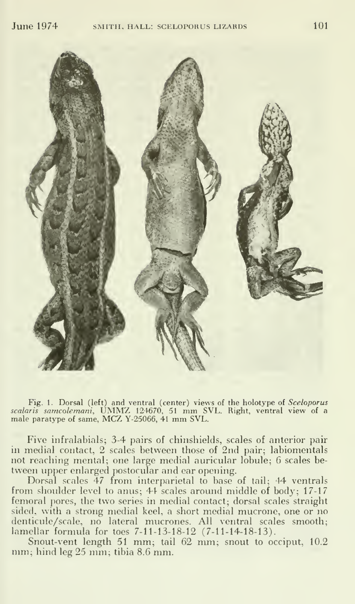

Fig. 1. Dorsal (left) and ventral (center) views of the holotype of *Sceloporus*<br>scalaris samcolemani, UMMZ 124670, 51 mm SVL. Right, ventral view of a<br>male paratype of same, MCZ Y-25066, 41 mm SVL.

Five infralabials; 3-4 pairs of chinshields, scales of anterior pair in medial contact, 2 scales between those of 2nd pair; labiomentals not reaching mental; one large medial auricular lobule; 6 scales be tween upper enlarged postocular and car opening.

Dorsal scales 47 from interparietal to base of tail; 44 ventrals from shoulder level to anus; 44 scales around middle of body; 17-17 femoral pores, the two series in medial contact; dorsal scales straight sided, with a strong medial keel, a short medial mucrone, one or no denticule/scale, no lateral mucrones. All ventral scales smooth; lamellar formula for toes 7-11-13-18-12 (7-11-14-18-13).

Snout-vent length <sup>51</sup> mm; tail <sup>62</sup> mm; snout to occiput, 10.2 mm; hind leg <sup>25</sup> mm; tibia 8.(5 mm.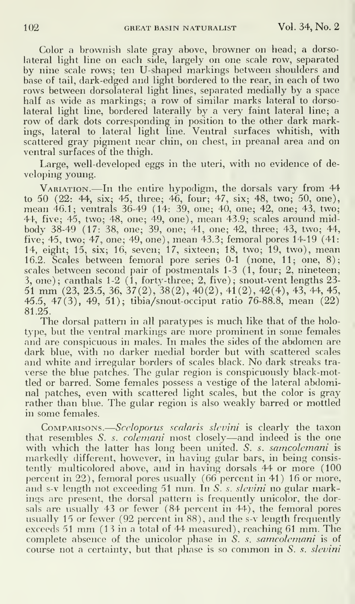Color a brownish slate gray above, browner on head; a dorsolateral light line on each side, largely on one scale row, separated by nine scale rows; ten U-shaped markings between shoulders and base of tail, dark-edged and light bordered to the rear, in each of two rows between dorsolateral light lines, separated medially by a space half as wide as markings; a row of similar marks lateral to dorsolateral light line, bordered laterally by a very faint lateral line; a row of dark dots corresponding in position to the other dark markings, lateral to lateral light line. Ventral surfaces whitish, with scattered gray pigment near chin, on chest, in preanal area and on ventral surfaces of the thigh.

Large, well-developed eggs in the uteri, with no evidence of de veloping young.

Variation.—In the entire hypodigm, the dorsals vary from <sup>44</sup> to 50 (22: 44, six; 45, three; 46, four; 47, six; 48, two; 50, one), mean 46.1; ventrals 36-49 (14: 39, one; 40, one; 42, one; 43, two; 44, five; 45, two; 48, one; 49, one), mean 43.9; scales around midbody 38-49 (17: 38, one; 39, one; 41, one; 42, three; 43, two; 44, five; 45, two; 47, one; 49, one), mean 43.3; femoral pores 14-19 (41: 14, eight; 15, six; 16, seven; 17, sixteen; 18, two; 19, two), mean 16.2. Scales between femoral pore series 0-1 (none, 11; one, 8); scales between second pair of postmentals  $1-3$  (1, four; 2, nineteen;  $(3, one)$ ; canthals  $1-2$   $(1,$  forty-three;  $2,$  five); snout-vent lengths  $23-$ <sup>51</sup> mm (23,23.5,36, 37(2), 38(2), 40(2), <sup>41</sup> (2), 42(4), 43, 44, 45, 45.5, 47(3), 49, 51); tibia/snout-occiput ratio 76-88.8, mean (22) 81.25.

The dorsal pattern in all paratypes is much like that of the holotype, but the ventral markings are more prominent in some females and are conspicuous in males. In males the sides of the abdomen are dark blue, with no darker medial border but with scattered scales and white and irregular borders of scales black. No dark streaks tra verse the blue patches. The gular region is conspicuously black-mottled or barred. Some females possess a vestige of the lateral abdominal patches, even with scattered light scales, but the color is gray rather than blue. The gular region is also weakly barred or mottled in some females.

Comparisons.—Sccloporus scalaris slevini is clearly the taxon that resembles S. s. colemani most closely—and indeed is the one with which the latter has long been united. S. s. samcolemani is markedly different, however, in having gular bars, in being consistently multicolored above, and in having dorsals 44 or more (100 percent in 22), femoral pores usually (66 percent in 41 ) 16 or more, and s-v length not exceeding 51 mm. In *S. s. slevini* no gular markings are present, the dorsal pattern is frequently unicolor, the dorsals are usually 43 or fewer (84 percent in 44), the femoral pores usually 15 or fewer (92 percent in 88), and the s-v length frequently exceeds <sup>51</sup> mm (13 in <sup>a</sup> total of <sup>44</sup> measured), reaching <sup>61</sup> mm. The complete absence of the unicolor phase in S. s. samcolemani is of course not <sup>a</sup> certainty, but that phase is so common in S. s. slevini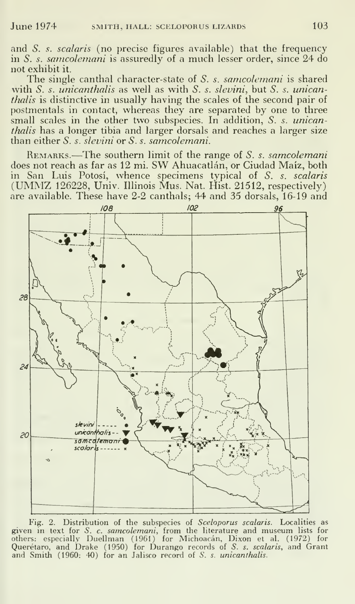and S. s. scalaris (no precise figures available) that the frequency in S. s. samcolemani is assuredly of a much lesser order, since 24 do not exhibit it.

The single canthal character-state of S. s. samcolemani is shared with *S. s. unicanthalis* as well as with *S. s. slevini*, but *S. s. unican*thalis is distinctive in usually having the scales of the second pair of postmentals in contact, whereas they are separated by one to three small scales in the other two subspecies. In addition, S. s. unicanthalis has a longer tibia and larger dorsals and reaches a larger size than either S. s. slevini or S. s. samcolemani.

REMARKS.—The southern limit of the range of S. s. samcolemani does not reach as far as 12 mi. SW Ahuacatlán, or Ciudad Maíz, both in San Luis Potosi, whence specimens typical of S. s. scalaris (UMMZ 126228, Univ. Illinois Mus. Nat. Hist. 21512, respectively) are available. These have 2-2 canthals; 44 and 35 dorsals, 16-19 and



Fig. 2. Distribution of the subspecies of Sceloporus scalaris. Localities as given in text for *S. c. samcolemani,* from the literature and museum lists for<br>others: especially Duellman (1961) for Michoacán, Dixon et al. (1972) for Querétaro, and Drake (1950) for Durango records of *S. s. scalaris*, and Grant<br>and Smith (1960: 40) for an Jalisco record of *S. s. unicanthalis.*